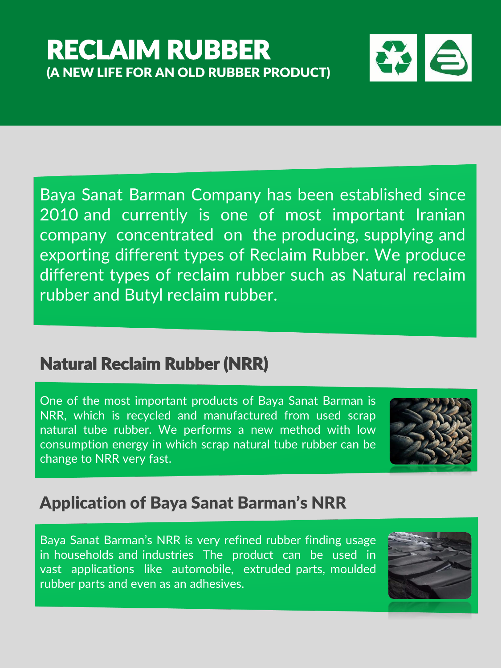# RECLAIM RUBBER (A NEW LIFE FOR AN OLD RUBBER PRODUCT)



Baya Sanat Barman Company has been established since 2010 and currently is one of most important Iranian company concentrated on the producing, supplying and exporting different types of Reclaim Rubber. We produce different types of reclaim rubber such as Natural reclaim rubber and Butyl reclaim rubber.

# Natural Reclaim Rubber (NRR)

One of the most important products of Baya Sanat Barman is NRR, which is recycled and manufactured from used scrap natural tube rubber. We performs a new method with low consumption energy in which scrap natural tube rubber can be change to NRR very fast.



## Application of Baya Sanat Barman's NRR

Baya Sanat Barman's NRR is very refined rubber finding usage in households and industries The product can be used in vast applications like automobile, extruded parts, moulded rubber parts and even as an adhesives.